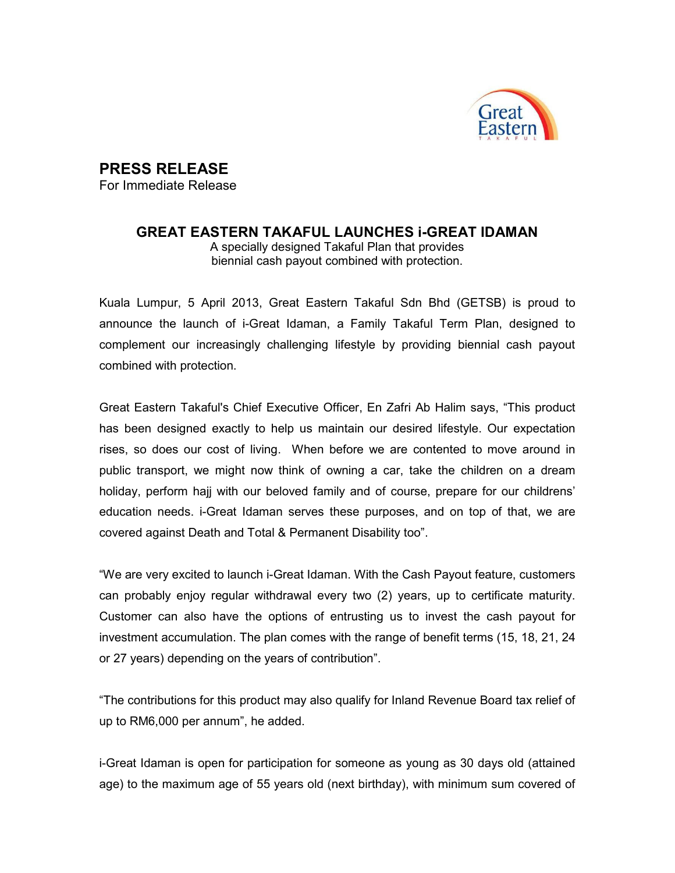

## PRESS RELEASE

For Immediate Release

## GREAT EASTERN TAKAFUL LAUNCHES i-GREAT IDAMAN

A specially designed Takaful Plan that provides biennial cash payout combined with protection.

Kuala Lumpur, 5 April 2013, Great Eastern Takaful Sdn Bhd (GETSB) is proud to announce the launch of i-Great Idaman, a Family Takaful Term Plan, designed to complement our increasingly challenging lifestyle by providing biennial cash payout combined with protection.

Great Eastern Takaful's Chief Executive Officer, En Zafri Ab Halim says, "This product has been designed exactly to help us maintain our desired lifestyle. Our expectation rises, so does our cost of living. When before we are contented to move around in public transport, we might now think of owning a car, take the children on a dream holiday, perform hajj with our beloved family and of course, prepare for our childrens' education needs. i-Great Idaman serves these purposes, and on top of that, we are covered against Death and Total & Permanent Disability too".

"We are very excited to launch i-Great Idaman. With the Cash Payout feature, customers can probably enjoy regular withdrawal every two (2) years, up to certificate maturity. Customer can also have the options of entrusting us to invest the cash payout for investment accumulation. The plan comes with the range of benefit terms (15, 18, 21, 24 or 27 years) depending on the years of contribution".

"The contributions for this product may also qualify for Inland Revenue Board tax relief of up to RM6,000 per annum", he added.

i-Great Idaman is open for participation for someone as young as 30 days old (attained age) to the maximum age of 55 years old (next birthday), with minimum sum covered of